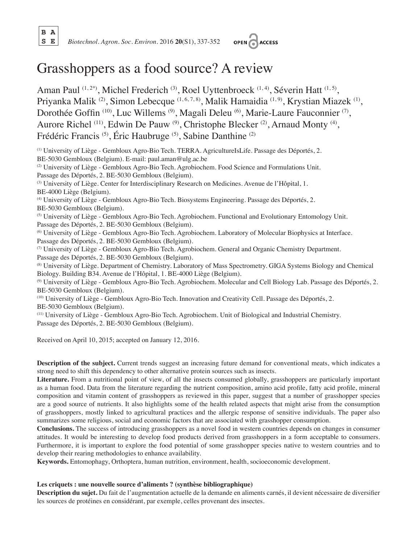**B A**



# Grasshoppers as a food source? A review

Aman Paul <sup>(1, 2\*)</sup>, Michel Frederich <sup>(3)</sup>, Roel Uyttenbroeck <sup>(1, 4)</sup>, Séverin Hatt <sup>(1, 5)</sup>, Priyanka Malik <sup>(2)</sup>, Simon Lebecque <sup>(1, 6, 7, 8)</sup>, Malik Hamaidia<sup>(1, 9)</sup>, Krystian Miazek<sup>(1)</sup>, Dorothée Goffin<sup>(10)</sup>, Luc Willems<sup>(9)</sup>, Magali Deleu<sup>(6)</sup>, Marie-Laure Fauconnier<sup>(7)</sup>, Aurore Richel <sup>(11)</sup>, Edwin De Pauw <sup>(9)</sup>, Christophe Blecker <sup>(2)</sup>, Arnaud Monty <sup>(4)</sup>, Frédéric Francis (5), Éric Haubruge (5), Sabine Danthine (2)

(1) University of Liège - Gembloux Agro-Bio Tech. TERRA. AgricultureIsLife. Passage des Déportés, 2. BE-5030 Gembloux (Belgium). E-mail: paul.aman@ulg.ac.be (2) University of Liège - Gembloux Agro-Bio Tech. Agrobiochem. Food Science and Formulations Unit. Passage des Déportés, 2. BE-5030 Gembloux (Belgium). (3) University of Liège. Center for Interdisciplinary Research on Medicines. Avenue de l'Hôpital, 1. BE-4000 Liège (Belgium). (4) University of Liège - Gembloux Agro-Bio Tech. Biosystems Engineering. Passage des Déportés, 2. BE-5030 Gembloux (Belgium). (5) University of Liège - Gembloux Agro-Bio Tech. Agrobiochem. Functional and Evolutionary Entomology Unit. Passage des Déportés, 2. BE-5030 Gembloux (Belgium). (6) University of Liège - Gembloux Agro-Bio Tech. Agrobiochem. Laboratory of Molecular Biophysics at Interface. Passage des Déportés, 2. BE-5030 Gembloux (Belgium). (7) University of Liège - Gembloux Agro-Bio Tech. Agrobiochem. General and Organic Chemistry Department.

Passage des Déportés, 2. BE-5030 Gembloux (Belgium). (8) University of Liège. Department of Chemistry. Laboratory of Mass Spectrometry. GIGA Systems Biology and Chemical Biology. Building B34. Avenue de l'Hôpital, 1. BE-4000 Liège (Belgium).

(9) University of Liège - Gembloux Agro-Bio Tech. Agrobiochem. Molecular and Cell Biology Lab. Passage des Déportés, 2. BE-5030 Gembloux (Belgium).

(10) University of Liège - Gembloux Agro-Bio Tech. Innovation and Creativity Cell. Passage des Déportés, 2. BE-5030 Gembloux (Belgium).

(11) University of Liège - Gembloux Agro-Bio Tech. Agrobiochem. Unit of Biological and Industrial Chemistry. Passage des Déportés, 2. BE-5030 Gembloux (Belgium).

Received on April 10, 2015; accepted on January 12, 2016.

**Description of the subject.** Current trends suggest an increasing future demand for conventional meats, which indicates a strong need to shift this dependency to other alternative protein sources such as insects.

**Literature.** From a nutritional point of view, of all the insects consumed globally, grasshoppers are particularly important as a human food. Data from the literature regarding the nutrient composition, amino acid profile, fatty acid profile, mineral composition and vitamin content of grasshoppers as reviewed in this paper, suggest that a number of grasshopper species are a good source of nutrients. It also highlights some of the health related aspects that might arise from the consumption of grasshoppers, mostly linked to agricultural practices and the allergic response of sensitive individuals. The paper also summarizes some religious, social and economic factors that are associated with grasshopper consumption.

**Conclusions.** The success of introducing grasshoppers as a novel food in western countries depends on changes in consumer attitudes. It would be interesting to develop food products derived from grasshoppers in a form acceptable to consumers. Furthermore, it is important to explore the food potential of some grasshopper species native to western countries and to develop their rearing methodologies to enhance availability.

**Keywords.** Entomophagy, Orthoptera, human nutrition, environment, health, socioeconomic development.

#### **Les criquets : une nouvelle source d'aliments ? (synthèse bibliographique)**

Description du sujet. Du fait de l'augmentation actuelle de la demande en aliments carnés, il devient nécessaire de diversifier les sources de protéines en considérant, par exemple, celles provenant des insectes.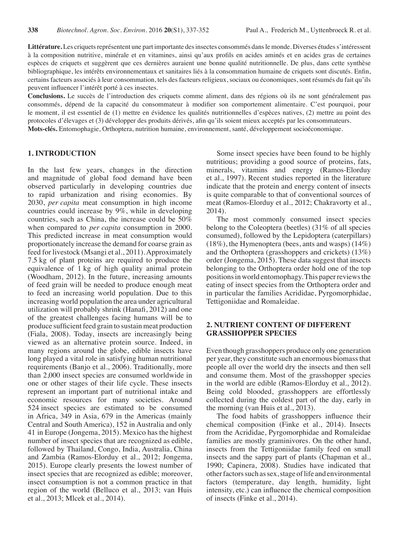Littérature. Les criquets représentent une part importante des insectes consommés dans le monde. Diverses études s'intéressent à la composition nutritive, minérale et en vitamines, ainsi qu'aux profils en acides aminés et en acides gras de certaines espèces de criquets et suggèrent que ces dernières auraient une bonne qualité nutritionnelle. De plus, dans cette synthèse bibliographique, les intérêts environnementaux et sanitaires liés à la consommation humaine de criquets sont discutés. Enfin, certains facteurs associés à leur consommation, tels des facteurs religieux, sociaux ou économiques, sont résumés du fait qu'ils peuvent influencer l'intérêt porté à ces insectes.

**Conclusions.** Le succès de l'introduction des criquets comme aliment, dans des régions où ils ne sont généralement pas consommés, dépend de la capacité du consommateur à modifier son comportement alimentaire. C'est pourquoi, pour le moment, il est essentiel de (1) mettre en évidence les qualités nutritionnelles d'espèces natives, (2) mettre au point des protocoles d'élevages et (3) développer des produits dérivés, afin qu'ils soient mieux acceptés par les consommateurs. **Mots-clés.** Entomophagie, Orthoptera, nutrition humaine, environnement, santé, développement socioéconomique.

#### **1. INTRODUCTION**

In the last few years, changes in the direction and magnitude of global food demand have been observed particularly in developing countries due to rapid urbanization and rising economies. By 2030, *per capita* meat consumption in high income countries could increase by 9%, while in developing countries, such as China, the increase could be 50% when compared to *per capita* consumption in 2000. This predicted increase in meat consumption would proportionately increase the demand for coarse grain as feed for livestock (Msangi et al., 2011). Approximately 7.5 kg of plant proteins are required to produce the equivalence of 1 kg of high quality animal protein (Woodham, 2012). In the future, increasing amounts of feed grain will be needed to produce enough meat to feed an increasing world population. Due to this increasing world population the area under agricultural utilization will probably shrink (Hanafi, 2012) and one of the greatest challenges facing humans will be to produce sufficient feed grain to sustain meat production (Fiala, 2008). Today, insects are increasingly being viewed as an alternative protein source. Indeed, in many regions around the globe, edible insects have long played a vital role in satisfying human nutritional requirements (Banjo et al., 2006). Traditionally, more than 2,000 insect species are consumed worldwide in one or other stages of their life cycle. These insects represent an important part of nutritional intake and economic resources for many societies. Around 524 insect species are estimated to be consumed in Africa, 349 in Asia, 679 in the Americas (mainly Central and South America), 152 in Australia and only 41 in Europe (Jongema, 2015). Mexico has the highest number of insect species that are recognized as edible, followed by Thailand, Congo, India, Australia, China and Zambia (Ramos-Elorduy et al., 2012; Jongema, 2015). Europe clearly presents the lowest number of insect species that are recognized as edible; moreover, insect consumption is not a common practice in that region of the world (Belluco et al., 2013; van Huis et al., 2013; Mlcek et al., 2014).

Some insect species have been found to be highly nutritious; providing a good source of proteins, fats, minerals, vitamins and energy (Ramos-Elorduy et al., 1997). Recent studies reported in the literature indicate that the protein and energy content of insects is quite comparable to that of conventional sources of meat (Ramos-Elorduy et al., 2012; Chakravorty et al., 2014).

The most commonly consumed insect species belong to the Coleoptera (beetles) (31% of all species consumed), followed by the Lepidoptera (caterpillars)  $(18\%)$ , the Hymenoptera (bees, ants and wasps)  $(14\%)$ and the Orthoptera (grasshoppers and crickets) (13%) order (Jongema, 2015). These data suggest that insects belonging to the Orthoptera order hold one of the top positions in world entomophagy. This paper reviews the eating of insect species from the Orthoptera order and in particular the families Acrididae, Pyrgomorphidae, Tettigoniidae and Romaleidae.

## **2. NUTRIENT CONTENT OF DIFFERENT GRASSHOPPER SPECIES**

Even though grasshoppers produce only one generation per year, they constitute such an enormous biomassthat people all over the world dry the insects and then sell and consume them. Most of the grasshopper species in the world are edible (Ramos-Elorduy et al., 2012). Being cold blooded, grasshoppers are effortlessly collected during the coldest part of the day, early in the morning (van Huis et al., 2013).

The food habits of grasshoppers influence their chemical composition (Finke et al., 2014). Insects from the Acrididae, Pyrgomorphidae and Romaleidae families are mostly graminivores. On the other hand, insects from the Tettigoniidae family feed on small insects and the sappy part of plants (Chapman et al., 1990; Capinera, 2008). Studies have indicated that other factors such as sex, stage of life and environmental factors (temperature, day length, humidity, light intensity, etc.) can influence the chemical composition of insects (Finke et al., 2014).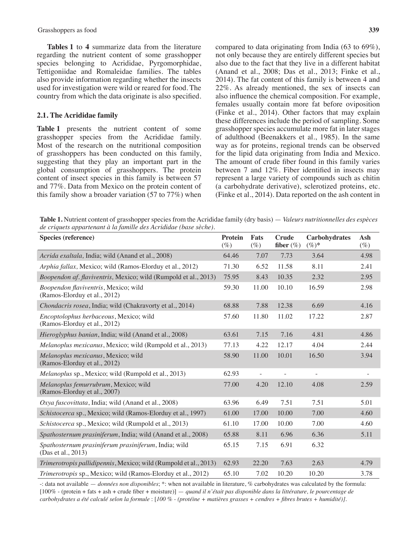**Tables 1** to **4** summarize data from the literature regarding the nutrient content of some grasshopper species belonging to Acrididae, Pyrgomorphidae, Tettigoniidae and Romaleidae families. The tables also provide information regarding whether the insects used for investigation were wild or reared for food. The country from which the data originate is also specified.

#### **2.1. The Acrididae family**

**Table 1** presents the nutrient content of some grasshopper species from the Acrididae family. Most of the research on the nutritional composition of grasshoppers has been conducted on this family, suggesting that they play an important part in the global consumption of grasshoppers. The protein content of insect species in this family is between 57 and 77%. Data from Mexico on the protein content of this family show a broader variation (57 to 77%) when compared to data originating from India (63 to 69%), not only because they are entirely different species but also due to the fact that they live in a different habitat (Anand et al., 2008; Das et al., 2013; Finke et al., 2014). The fat content of this family is between 4 and 22%. As already mentioned, the sex of insects can also influence the chemical composition. For example, females usually contain more fat before oviposition (Finke et al., 2014). Other factors that may explain these differences include the period of sampling. Some grasshopper species accumulate more fat in later stages of adulthood (Beenakkers et al., 1985). In the same way as for proteins, regional trends can be observed for the lipid data originating from India and Mexico. The amount of crude fiber found in this family varies between 7 and 12%. Fiber identified in insects may represent a large variety of compounds such as chitin (a carbohydrate derivative), sclerotized proteins, etc. (Finke et al., 2014). Data reported on the ash content in

**Table 1.** Nutrient content of grasshopper species from the Acrididae family (dry basis) — *Valeurs nutritionnelles des espèces de criquets appartenant à la famille des Acrididae (base sèche).*

| Species (reference)                                                        | <b>Protein</b><br>$(\%)$ | Fats<br>$(\%)$ | <b>Crude</b><br>fiber $(\%)$ | Carbohydrates<br>$(\%)^*$ | Ash<br>$(\%)$            |
|----------------------------------------------------------------------------|--------------------------|----------------|------------------------------|---------------------------|--------------------------|
| Acrida exaltala, India; wild (Anand et al., 2008)                          | 64.46                    | 7.07           | 7.73                         | 3.64                      | 4.98                     |
| Arphia fallax, Mexico; wild (Ramos-Elorduy et al., 2012)                   | 71.30                    | 6.52           | 11.58                        | 8.11                      | 2.41                     |
| Boopendon af. flaviventris, Mexico; wild (Rumpold et al., 2013)            | 75.95                    | 8.43           | 10.35                        | 2.32                      | 2.95                     |
| Boopendon flaviventris, Mexico; wild<br>(Ramos-Elorduy et al., 2012)       | 59.30                    | 11.00          | 10.10                        | 16.59                     | 2.98                     |
| Chondacris rosea, India; wild (Chakravorty et al., 2014)                   | 68.88                    | 7.88           | 12.38                        | 6.69                      | 4.16                     |
| Encoptolophus herbaceous, Mexico; wild<br>(Ramos-Elorduy et al., 2012)     | 57.60                    | 11.80          | 11.02                        | 17.22                     | 2.87                     |
| Hieroglyphus banian, India; wild (Anand et al., 2008)                      | 63.61                    | 7.15           | 7.16                         | 4.81                      | 4.86                     |
| Melanoplus mexicanus, Mexico; wild (Rumpold et al., 2013)                  | 77.13                    | 4.22           | 12.17                        | 4.04                      | 2.44                     |
| Melanoplus mexicanus, Mexico; wild<br>(Ramos-Elorduy et al., 2012)         | 58.90                    | 11.00          | 10.01                        | 16.50                     | 3.94                     |
| Melanoplus sp., Mexico; wild (Rumpold et al., 2013)                        | 62.93                    | $\overline{a}$ | $\overline{a}$               | $\overline{\phantom{a}}$  | $\overline{\phantom{a}}$ |
| Melanoplus femurrubrum, Mexico; wild<br>(Ramos-Elorduy et al., 2007)       | 77.00                    | 4.20           | 12.10                        | 4.08                      | 2.59                     |
| Oxya fuscovittata, India; wild (Anand et al., 2008)                        | 63.96                    | 6.49           | 7.51                         | 7.51                      | 5.01                     |
| Schistocerca sp., Mexico; wild (Ramos-Elorduy et al., 1997)                | 61.00                    | 17.00          | 10.00                        | 7.00                      | 4.60                     |
| Schistocerca sp., Mexico; wild (Rumpold et al., 2013)                      | 61.10                    | 17.00          | 10.00                        | 7.00                      | 4.60                     |
| Spathosternum prasiniferum, India; wild (Anand et al., 2008)               | 65.88                    | 8.11           | 6.96                         | 6.36                      | 5.11                     |
| Spathosternum prasiniferum prasiniferum, India; wild<br>(Das et al., 2013) | 65.15                    | 7.15           | 6.91                         | 6.32                      |                          |
| <i>Trimerotropis pallidipennis, Mexico; wild (Rumpold et al., 2013)</i>    | 62.93                    | 22.20          | 7.63                         | 2.63                      | 4.79                     |
| Trimerotropis sp., Mexico; wild (Ramos-Elorduy et al., 2012)               | 65.10                    | 7.02           | 10.20                        | 10.20                     | 3.78                     |

-: data not available — *données non disponibles*; \*: when not available in literature, % carbohydrates was calculated by the formula: [100% - (protein + fats + ash + crude fiber + moisture)] — *quand il n'était pas disponible dans la littérature, le pourcentage de carbohydrates a été calculé selon la formule* : [*100 % - (protéine + matières grasses + cendres + fibres brutes + humidité)].*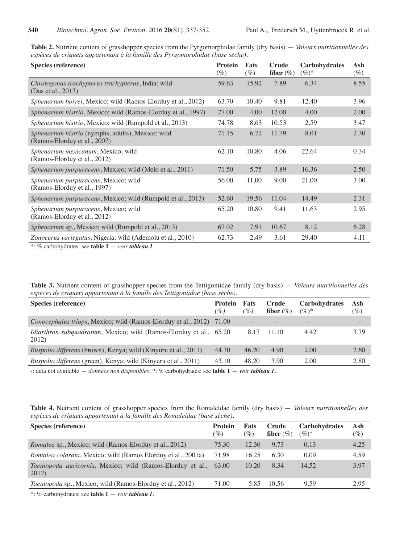**Table 2.** Nutrient content of grasshopper species from the Pyrgomorphidae family (dry basis) — *Valeurs nutritionnelles des espèces de criquets appartenant à la famille des Pyrgomorphidae (base sèche).*

| Species (reference)                                                               | <b>Protein</b><br>$(\%)$ | Fats<br>$(\%)$ | Crude<br>fiber $(\%)$ | <b>Carbohydrates</b><br>$(\%)^*$ | Ash<br>$(\%)$ |
|-----------------------------------------------------------------------------------|--------------------------|----------------|-----------------------|----------------------------------|---------------|
| Chrotogonus trachypterus trachypterus, India; wild<br>(Das et al., 2013)          | 59.63                    | 15.92          | 7.89                  | 6.34                             | 8.55          |
| <i>Sphenarium borrei</i> , Mexico; wild (Ramos-Elorduy et al., 2012)              | 63.70                    | 10.40          | 9.81                  | 12.40                            | 3.96          |
| <i>Sphenarium histrio, Mexico; wild (Ramos-Elorduy et al., 1997)</i>              | 77.00                    | 4.00           | 12.00                 | 4.00                             | 2.00          |
| Sphenarium histrio, Mexico; wild (Rumpold et al., 2013)                           | 74.78                    | 8.63           | 10.53                 | 2.59                             | 3.47          |
| Sphenarium histrio (nymphs, adults), Mexico; wild<br>(Ramos-Elorduy et al., 2007) | 71.15                    | 6.72           | 11.79                 | 8.01                             | 2.30          |
| Sphenarium mexicanum, Mexico; wild<br>(Ramos-Elorduy et al., 2012)                | 62.10                    | 10.80          | 4.06                  | 22.64                            | 0.34          |
| Sphenarium purpuracens, Mexico; wild (Melo et al., 2011)                          | 71.50                    | 5.75           | 3.89                  | 16.36                            | 2.50          |
| <i>Sphenarium purpuracens, Mexico; wild</i><br>(Ramos-Elorduy et al., 1997)       | 56.00                    | 11.00          | 9.00                  | 21.00                            | 3.00          |
| Sphenarium purpuracens, Mexico; wild (Rumpold et al., 2013)                       | 52.60                    | 19.56          | 11.04                 | 14.49                            | 2.31          |
| <i>Sphenarium purpuracens, Mexico; wild</i><br>(Ramos-Elorduy et al., 2012)       | 65.20                    | 10.80          | 9.41                  | 11.63                            | 2.95          |
| Sphenarium sp., Mexico; wild (Rumpold et al., 2013)                               | 67.02                    | 7.91           | 10.67                 | 8.12                             | 6.28          |
| Zonocerus variegatus, Nigeria; wild (Ademolu et al., 2010)                        | 62.73                    | 2.49           | 3.61                  | 29.40                            | 4.11          |

\*: % carbohydrates: see **table 1** — *voir tableau 1.*

**Table 3.** Nutrient content of grasshopper species from the Tettigoniidae family (dry basis) — *Valeurs nutritionnelles des espèces de criquets appartenant à la famille des Tettigoniidae (base sèche).*

| Species (reference)                                                          | <b>Protein</b><br>$\mathcal{O}_0$ | Fats<br>$( \% )$ | Crude<br>fiber $(\%)$ | <b>Carbohydrates</b><br>$(\%)^*$ | Ash<br>$(\%)$ |
|------------------------------------------------------------------------------|-----------------------------------|------------------|-----------------------|----------------------------------|---------------|
| <i>Conocephalus triops</i> , Mexico; wild (Ramos-Elorduy et al., 2012)       | 71.00                             |                  |                       | $\overline{\phantom{0}}$         |               |
| Idiarthron subquadratum, Mexico; wild (Ramos-Elorduy et al., 65.20)<br>2012) |                                   | 8.17             | 11.10                 | 4.42                             | 3.79          |
| <i>Ruspolia differens</i> (brown), Kenya; wild (Kinyuru et al., 2011)        | 44.30                             | 46.20            | 4.90                  | 2.00                             | 2.60          |
| <i>Ruspolia differens</i> (green), Kenya; wild (Kinyuru et al., 2011)        | 43.10                             | 48.20            | 3.90                  | 2.00                             | 2.80          |

-: data not available — *données non disponibles*; \*: % carbohydrates: see **table 1** — *voir tableau 1.*

| Table 4. Nutrient content of grasshopper species from the Romaleidae family (dry basis) — Valeurs nutritionnelles des |  |  |
|-----------------------------------------------------------------------------------------------------------------------|--|--|
| espèces de criquets appartenant à la famille des Romaleidae (base sèche).                                             |  |  |

| Species (reference)                                                         | <b>Protein</b><br>$(\%)$ | Fats<br>$(\%)$ | Crude<br>fiber $(\%)$ | <b>Carbohydrates</b><br>$(\%)^*$ | Ash<br>$(\%)$ |
|-----------------------------------------------------------------------------|--------------------------|----------------|-----------------------|----------------------------------|---------------|
| <i>Romalea</i> sp., Mexico; wild (Ramos-Elorduy et al., 2012)               | 75.30                    | 12.30          | 9.73                  | 0.13                             | 4.25          |
| <i>Romalea colorata, Mexico; wild (Ramos Elorduy et al., 2001a)</i>         | 71.98                    | 16.25          | 6.30                  | 0.09                             | 4.59          |
| <i>Taeniopoda auricornis</i> , Mexico; wild (Ramos-Elorduy et al.,<br>2012) | 63.00                    | 10.20          | 8.34                  | 14.52                            | 3.97          |
| <i>Taeniopoda</i> sp., Mexico; wild (Ramos-Elorduy et al., 2012)            | 71.00                    | 5.85           | 10.56                 | 9.59                             | 2.95          |
|                                                                             |                          |                |                       |                                  |               |

\*: % carbohydrates: see **table 1** — *voir tableau 1.*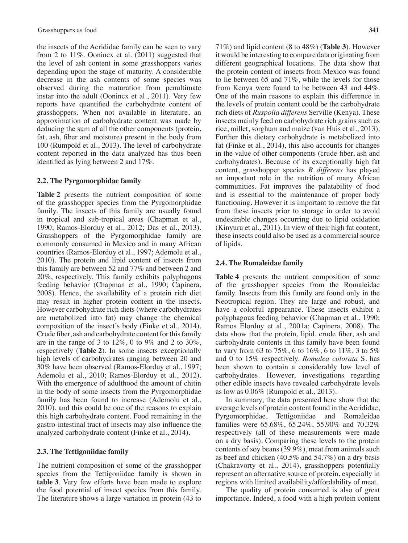the insects of the Acrididae family can be seen to vary from 2 to 11%. Oonincx et al. (2011) suggested that the level of ash content in some grasshoppers varies depending upon the stage of maturity. A considerable decrease in the ash contents of some species was observed during the maturation from penultimate instar into the adult (Oonincx et al., 2011). Very few reports have quantified the carbohydrate content of grasshoppers. When not available in literature, an approximation of carbohydrate content was made by deducing the sum of all the other components (protein, fat, ash, fiber and moisture) present in the body from 100 (Rumpold et al., 2013). The level of carbohydrate content reported in the data analyzed has thus been identified as lying between 2 and 17%.

# **2.2. The Pyrgomorphidae family**

**Table 2** presents the nutrient composition of some of the grasshopper species from the Pyrgomorphidae family. The insects of this family are usually found in tropical and sub-tropical areas (Chapman et al., 1990; Ramos-Elorduy et al., 2012; Das et al., 2013). Grasshoppers of the Pyrgomorphidae family are commonly consumed in Mexico and in many African countries (Ramos-Elorduy et al., 1997; Ademolu et al., 2010). The protein and lipid content of insects from this family are between 52 and 77% and between 2 and 20%, respectively. This family exhibits polyphagous feeding behavior (Chapman et al., 1990; Capinera, 2008). Hence, the availability of a protein rich diet may result in higher protein content in the insects. However carbohydrate rich diets (where carbohydrates are metabolized into fat) may change the chemical composition of the insect's body (Finke et al., 2014). Crude fiber, ash and carbohydrate content for this family are in the range of 3 to  $12\%$ , 0 to 9% and 2 to 30%, respectively (**Table 2**). In some insects exceptionally high levels of carbohydrates ranging between 20 and 30% have been observed (Ramos-Elorduy et al., 1997; Ademolu et al., 2010; Ramos-Elorduy et al., 2012). With the emergence of adulthood the amount of chitin in the body of some insects from the Pyrgomorphidae family has been found to increase (Ademolu et al., 2010), and this could be one of the reasons to explain this high carbohydrate content. Food remaining in the gastro-intestinal tract of insects may also influence the analyzed carbohydrate content (Finke et al., 2014).

## **2.3. The Tettigoniidae family**

The nutrient composition of some of the grasshopper species from the Tettigoniidae family is shown in **table 3**. Very few efforts have been made to explore the food potential of insect species from this family. The literature shows a large variation in protein (43 to 71%) and lipid content (8 to 48%) (**Table 3**). However it would be interesting to compare data originating from different geographical locations. The data show that the protein content of insects from Mexico was found to lie between 65 and 71%, while the levels for those from Kenya were found to be between 43 and 44%. One of the main reasons to explain this difference in the levels of protein content could be the carbohydrate rich diets of *Ruspolia differens* Serville (Kenya). These insects mainly feed on carbohydrate rich grains such as rice, millet, sorghum and maize (van Huis et al., 2013). Further this dietary carbohydrate is metabolized into fat (Finke et al., 2014), this also accounts for changes in the value of other components (crude fiber, ash and carbohydrates). Because of its exceptionally high fat content, grasshopper species *R. differens* has played an important role in the nutrition of many African communities. Fat improves the palatability of food and is essential to the maintenance of proper body functioning. However it is important to remove the fat from these insects prior to storage in order to avoid undesirable changes occurring due to lipid oxidation (Kinyuru et al., 2011). In view of their high fat content, these insects could also be used as a commercial source of lipids.

# **2.4. The Romaleidae family**

**Table 4** presents the nutrient composition of some of the grasshopper species from the Romaleidae family. Insects from this family are found only in the Neotropical region. They are large and robust, and have a colorful appearance. These insects exhibit a polyphagous feeding behavior (Chapman et al., 1990; Ramos Elorduy et al., 2001a; Capinera, 2008). The data show that the protein, lipid, crude fiber, ash and carbohydrate contents in this family have been found to vary from 63 to 75%, 6 to 16%, 6 to 11%, 3 to 5% and 0 to 15% respectively. *Romalea colorata* S. has been shown to contain a considerably low level of carbohydrates. However, investigations regarding other edible insects have revealed carbohydrate levels as low as 0.06% (Rumpold et al., 2013).

In summary, the data presented here show that the average levels of protein content found in the Acrididae, Pyrgomorphidae, Tettigoniidae and Romaleidae families were 65.68%, 65.24%, 55.90% and 70.32% respectively (all of these measurements were made on a dry basis). Comparing these levels to the protein contents of soy beans (39.9%), meat from animals such as beef and chicken (40.5% and 54.7%) on a dry basis (Chakravorty et al., 2014), grasshoppers potentially represent an alternative source of protein, especially in regions with limited availability/affordability of meat.

The quality of protein consumed is also of great importance. Indeed, a food with a high protein content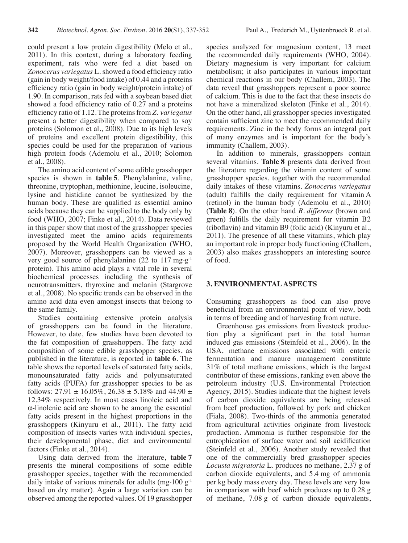could present a low protein digestibility (Melo et al., 2011). In this context, during a laboratory feeding experiment, rats who were fed a diet based on *Zonocerus variegatus* L. showed a food efficiency ratio (gain in body weight/food intake) of 0.44 and a proteins efficiency ratio (gain in body weight/protein intake) of 1.90. In comparison, rats fed with a soybean based diet showed a food efficiency ratio of 0.27 and a proteins efficiency ratio of 1.12. The proteinsfrom *Z. variegatus* present a better digestibility when compared to soy proteins (Solomon et al., 2008). Due to its high levels of proteins and excellent protein digestibility, this species could be used for the preparation of various high protein foods (Ademolu et al., 2010; Solomon et al., 2008).

The amino acid content of some edible grasshopper species is shown in **table 5**. Phenylalanine, valine, threonine, tryptophan, methionine, leucine, isoleucine, lysine and histidine cannot be synthesized by the human body. These are qualified as essential amino acids because they can be supplied to the body only by food (WHO, 2007; Finke et al., 2014). Data reviewed in this paper show that most of the grasshopper species investigated meet the amino acids requirements proposed by the World Health Organization (WHO, 2007). Moreover, grasshoppers can be viewed as a very good source of phenylalanine (22 to 117 mg $\cdot$ g<sup>-1</sup> protein). This amino acid plays a vital role in several biochemical processes including the synthesis of neurotransmitters, thyroxine and melanin (Stargrove et al., 2008). No specific trends can be observed in the amino acid data even amongst insects that belong to the same family.

Studies containing extensive protein analysis of grasshoppers can be found in the literature. However, to date, few studies have been devoted to the fat composition of grasshoppers. The fatty acid composition of some edible grasshopper species, as published in the literature, is reported in **table 6**. The table shows the reported levels of saturated fatty acids, monounsaturated fatty acids and polyunsaturated fatty acids (PUFA) for grasshopper species to be as follows:  $27.91 \pm 16.05\%$ ,  $26.38 \pm 5.18\%$  and  $44.90 \pm 16.05\%$ 12.34% respectively. In most cases linoleic acid and α-linolenic acid are shown to be among the essential fatty acids present in the highest proportions in the grasshoppers (Kinyuru et al., 2011). The fatty acid composition of insects varies with individual species, their developmental phase, diet and environmental factors (Finke et al., 2014).

Using data derived from the literature, **table 7** presents the mineral compositions of some edible grasshopper species, together with the recommended daily intake of various minerals for adults (mg $\cdot$ 100 g<sup>-1</sup>) based on dry matter). Again a large variation can be observed among the reported values. Of 19 grasshopper species analyzed for magnesium content, 13 meet the recommended daily requirements (WHO, 2004). Dietary magnesium is very important for calcium metabolism; it also participates in various important chemical reactions in our body (Challem, 2003). The data reveal that grasshoppers represent a poor source of calcium. This is due to the fact that these insects do not have a mineralized skeleton (Finke et al., 2014). On the other hand, all grasshopper species investigated contain sufficient zinc to meet the recommended daily requirements. Zinc in the body forms an integral part of many enzymes and is important for the body's immunity (Challem, 2003).

In addition to minerals, grasshoppers contain several vitamins. **Table 8** presents data derived from the literature regarding the vitamin content of some grasshopper species, together with the recommended daily intakes of these vitamins. *Zonocerus variegatus* (adult) fulfills the daily requirement for vitamin A (retinol) in the human body (Ademolu et al., 2010) (**Table 8**). On the other hand *R. differens* (brown and green) fulfills the daily requirement for vitamin B2 (riboflavin) and vitamin B9 (folic acid) (Kinyuru et al., 2011). The presence of all these vitamins, which play an important role in proper body functioning (Challem, 2003) also makes grasshoppers an interesting source of food.

#### **3. ENVIRONMENTAL ASPECTS**

Consuming grasshoppers as food can also prove beneficial from an environmental point of view, both in terms of breeding and of harvesting from nature.

Greenhouse gas emissions from livestock production play a significant part in the total human induced gas emissions (Steinfeld et al., 2006). In the USA, methane emissions associated with enteric fermentation and manure management constitute 31% of total methane emissions, which is the largest contributor of these emissions, ranking even above the petroleum industry (U.S. Environmental Protection Agency, 2015). Studies indicate that the highest levels of carbon dioxide equivalents are being released from beef production, followed by pork and chicken (Fiala, 2008). Two-thirds of the ammonia generated from agricultural activities originate from livestock production. Ammonia is further responsible for the eutrophication of surface water and soil acidification (Steinfeld et al., 2006). Another study revealed that one of the commercially bred grasshopper species *Locusta migratoria* L. produces no methane, 2.37 g of carbon dioxide equivalents, and 5.4 mg of ammonia per kg body mass every day. These levels are very low in comparison with beef which produces up to 0.28 g of methane, 7.08 g of carbon dioxide equivalents,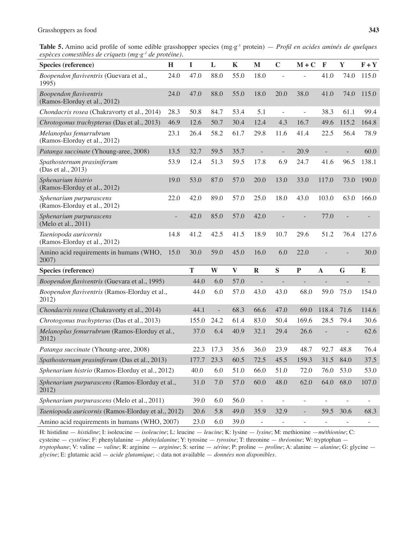Table 5. Amino acid profile of some edible grasshopper species (mg·g<sup>-1</sup> protein) — *Profil en acides aminés de quelques espèces comestibles de criquets (mg.g-1 de protéine).*

| Species (reference)                                           | H              | $\mathbf I$ | L             | $\mathbf K$  | $\mathbf{M}$             | $\mathbf C$              | $M + C$                  | $\mathbf F$              | $\mathbf Y$              | $F + Y$                  |
|---------------------------------------------------------------|----------------|-------------|---------------|--------------|--------------------------|--------------------------|--------------------------|--------------------------|--------------------------|--------------------------|
| Boopendon flaviventris (Guevara et al.,<br>1995)              | 24.0           | 47.0        | 88.0          | 55.0         | 18.0                     |                          |                          | 41.0                     | 74.0                     | 115.0                    |
| <b>Boopendon</b> flaviventris<br>(Ramos-Elorduy et al., 2012) | 24.0           | 47.0        | 88.0          | 55.0         | 18.0                     | 20.0                     | 38.0                     | 41.0                     | 74.0                     | 115.0                    |
| Chondacris rosea (Chakravorty et al., 2014)                   | 28.3           | 50.8        | 84.7          | 53.4         | 5.1                      | $\overline{\phantom{a}}$ | $\overline{\phantom{a}}$ | 38.3                     | 61.1                     | 99.4                     |
| Chrotogonus trachypterus (Das et al., 2013)                   | 46.9           | 12.6        | 50.7          | 30.4         | 12.4                     | 4.3                      | 16.7                     | 49.6                     | 115.2                    | 164.8                    |
| Melanoplus femurrubrum<br>(Ramos-Elorduy et al., 2012)        | 23.1           | 26.4        | 58.2          | 61.7         | 29.8                     | 11.6                     | 41.4                     | 22.5                     | 56.4                     | 78.9                     |
| Patanga succinate (Yhoung-aree, 2008)                         | 13.5           | 32.7        | 59.5          | 35.7         | $\overline{a}$           | $\overline{\phantom{0}}$ | 20.9                     | $\overline{\phantom{0}}$ | $\overline{a}$           | 60.0                     |
| Spathosternum prasiniferum<br>(Das et al., 2013)              | 53.9           | 12.4        | 51.3          | 59.5         | 17.8                     | 6.9                      | 24.7                     | 41.6                     | 96.5                     | 138.1                    |
| Sphenarium histrio<br>(Ramos-Elorduy et al., 2012)            | 19.0           | 53.0        | 87.0          | 57.0         | 20.0                     | 13.0                     | 33.0                     | 117.0                    | 73.0                     | 190.0                    |
| Sphenarium purpurascens<br>(Ramos-Elorduy et al., 2012)       | 22.0           | 42.0        | 89.0          | 57.0         | 25.0                     | 18.0                     | 43.0                     | 103.0                    | 63.0                     | 166.0                    |
| Sphenarium purpurascens<br>(Melo et al., 2011)                | $\overline{a}$ | 42.0        | 85.0          | 57.0         | 42.0                     |                          |                          | 77.0                     |                          |                          |
| Taeniopoda auricornis<br>(Ramos-Elorduy et al., 2012)         | 14.8           | 41.2        | 42.5          | 41.5         | 18.9                     | 10.7                     | 29.6                     | 51.2                     | 76.4                     | 127.6                    |
| Amino acid requirements in humans (WHO,<br>2007)              | 15.0           | 30.0        | 59.0          | 45.0         | 16.0                     | 6.0                      | 22.0                     |                          |                          | 30.0                     |
| Species (reference)                                           |                | T           | W             | $\mathbf{V}$ | $\mathbf R$              | S                        | ${\bf P}$                | $\mathbf{A}$             | G                        | ${\bf E}$                |
| Boopendon flaviventris (Guevara et al., 1995)                 |                | 44.0        | 6.0           | 57.0         | $\overline{\phantom{a}}$ |                          |                          |                          |                          |                          |
| Boopendon flaviventris (Ramos-Elorduy et al.,<br>2012)        |                | 44.0        | 6.0           | 57.0         | 43.0                     | 43.0                     | 68.0                     | 59.0                     | 75.0                     | 154.0                    |
| Chondacris rosea (Chakravorty et al., 2014)                   |                | 44.1        | $\frac{1}{2}$ | 68.3         | 66.6                     | 47.0                     | 69.0                     | 118.4                    | 71.6                     | 114.6                    |
| Chrotogonus trachypterus (Das et al., 2013)                   |                | 155.0       | 24.2          | 61.4         | 83.0                     | 50.4                     | 169.6                    | 28.5                     | 79.4                     | 30.6                     |
| Melanoplus femurrubrum (Ramos-Elorduy et al.,<br>2012)        |                | 37.0        | 6.4           | 40.9         | 32.1                     | 29.4                     | 26.6                     |                          | $\overline{\phantom{0}}$ | 62.6                     |
| Patanga succinate (Yhoung-aree, 2008)                         |                | 22.3        | 17.3          | 35.6         | 36.0                     | 23.9                     | 48.7                     | 92.7                     | 48.8                     | 76.4                     |
| Spathosternum prasiniferum (Das et al., 2013)                 |                | 177.7       | 23.3          | 60.5         | 72.5                     | 45.5                     | 159.3                    | 31.5                     | 84.0                     | 37.5                     |
| Sphenarium histrio (Ramos-Elorduy et al., 2012)               |                | 40.0        | 6.0           | 51.0         | 66.0                     | 51.0                     | 72.0                     | 76.0                     | 53.0                     | 53.0                     |
| Sphenarium purpurascens (Ramos-Elorduy et al.,<br>2012)       |                | 31.0        | 7.0           | 57.0         | 60.0                     | 48.0                     | 62.0                     | 64.0                     | 68.0                     | 107.0                    |
| Sphenarium purpurascens (Melo et al., 2011)                   |                | 39.0        | 6.0           | 56.0         | $\blacksquare$           | $\overline{\phantom{a}}$ | $\overline{\phantom{a}}$ | $\overline{\phantom{0}}$ | $\overline{\phantom{a}}$ | $\overline{\phantom{0}}$ |
| Taeniopoda auricornis (Ramos-Elorduy et al., 2012)            |                | 20.6        | 5.8           | 49.0         | 35.9                     | 32.9                     | $\equiv$                 | 59.5 30.6                |                          | 68.3                     |
| Amino acid requirements in humans (WHO, 2007)                 |                | 23.0        | 6.0           | 39.0         | $\overline{\phantom{a}}$ |                          | $\overline{\phantom{a}}$ | $\overline{\phantom{a}}$ |                          |                          |

H: histidine — *histidine*; I: isoleucine — *isoleucine*; L: leucine — *leucine*; K: lysine — *lysine*; M: methionine —*méthionine*; C: cysteine — *cystéine*; F: phenylalanine — *phénylalanine*; Y: tyrosine — *tyrosine*; T: threonine — *thréonine*; W: tryptophan *tryptophane*; V: valine — *valine*; R: arginine — *arginine*; S: serine — *sérine*; P: proline — *proline*; A: alanine — *alanine*; G: glycine *glycine*; E: glutamic acid — *acide glutamique*; -: data not available — *données non disponibles.*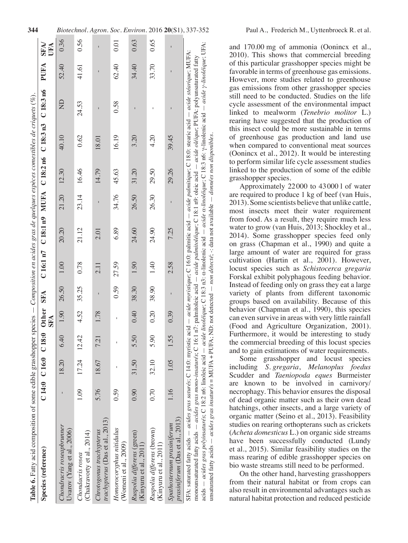| <b>Table 6.</b> Fatty acid composition of some edible grasshopper species $-$ Composition en acides gras de quelques espèces comestibles de criquets (%).                                                                                                                                                                                                                                                                                                                                                                                                   |      |                         |      |            |            |         |       |       |       |                                              |       |       |                    |
|-------------------------------------------------------------------------------------------------------------------------------------------------------------------------------------------------------------------------------------------------------------------------------------------------------------------------------------------------------------------------------------------------------------------------------------------------------------------------------------------------------------------------------------------------------------|------|-------------------------|------|------------|------------|---------|-------|-------|-------|----------------------------------------------|-------|-------|--------------------|
| Species (reference)                                                                                                                                                                                                                                                                                                                                                                                                                                                                                                                                         |      | C14:0 C16:0 C18:0 Other |      | <b>SFA</b> | <b>SFA</b> | C16:1n7 |       |       |       | $C18:1n9$ MUFA $C18:2n6$ $C18:3n3$ $C18:3n6$ |       | PUFA  | <b>SFA/</b><br>UFA |
| Chondracris roseapbrunner<br>Uvarov (Yang et al., 2006)                                                                                                                                                                                                                                                                                                                                                                                                                                                                                                     |      | 18.20                   | 6.40 | 1.90       | 26.50      | 1.00    | 20.20 | 21.20 | 12.30 | 40.10                                        | $\Xi$ | 52.40 | 0.36               |
| (Chakravorty et al., 2014)<br>Chondacris rosea                                                                                                                                                                                                                                                                                                                                                                                                                                                                                                              | 1.09 | $17.24$ $12.42$         |      | 4.52       | 35.25      | 0.78    | 21.12 | 23.14 | 16.46 | 0.62                                         | 24.53 | 41.61 | 0.56               |
| trachypterus (Das et al., 2013)<br>Chrotogonus trachypterus                                                                                                                                                                                                                                                                                                                                                                                                                                                                                                 | 5.76 | 18.67                   | 721  | 1.78       |            | 2.11    | 2.01  |       | 14.79 | 18.01                                        |       |       |                    |
| Homorocoryphus nitidulus<br>(Womeni et al., 2009)                                                                                                                                                                                                                                                                                                                                                                                                                                                                                                           | 0.59 |                         | ī    |            | 0.59       | 27.59   | 6.89  | 34.76 | 45.63 | 16.19                                        | 0.58  | 62.40 | 0.01               |
| Ruspolia differens (green)<br>(Kinyuru et al., 2011)                                                                                                                                                                                                                                                                                                                                                                                                                                                                                                        | 0.90 | 31.50                   | 5.50 | 0.40       | 38.30      | 1.90    | 24.60 | 26.50 | 31.20 | 3.20                                         |       | 34.40 | 0.63               |
| Ruspolia differens (brown)<br>(Kinyuru et al., 2011)                                                                                                                                                                                                                                                                                                                                                                                                                                                                                                        | 0.70 | 32.10                   | 5.90 | 0.20       | 38.90      | 1.40    | 24.90 | 26.30 | 29.50 | 4.20                                         |       | 33.70 | 0.65               |
| prasiniferum (Das et al., 2013)<br>Spathosternum prasiniferum                                                                                                                                                                                                                                                                                                                                                                                                                                                                                               | 1.16 | 1.05                    | 1.55 | 0.39       |            | 2.58    | 7.25  |       | 29.26 | 39.45                                        |       |       |                    |
| acids - acides gras polyinsaturés; C 18:2 n6: linoleic acid - acide linoléique; C 18:3 n3: a-linoleina exid - acide a-linoléique; C 18:3 n6: y-linolenic acide y-linoléique; UFA:<br>SFA: saturated fatty acids - acides gras saturés; C 14:0: myristic acid - acide myristique; C 16:0: palmitic acid - acide palmitique; C 18:0: stearic acid - acide stéarique; MUFA:<br>monounsaturated fatty acids – acides gras mono-insaturés; C 16:1 n7: palmitoleic acid – acide palmitoléique; C 18:1 n9: oleic acid – acide oléique; PUFA: polyunsaturated fatty |      |                         |      |            |            |         |       |       |       |                                              |       |       |                    |

and 170.00 mg of ammonia (Oonincx et al., 2010). This shows that commercial breeding of this particular grasshopper species might be favorable in terms of greenhouse gas emissions. However, more studies related to greenhouse gas emissions from other grasshopper species still need to be conducted. Studies on the life cycle assessment of the environmental impact linked to mealworm (*Tenebrio molitor* L.) rearing have suggested that the production of this insect could be more sustainable in terms of greenhouse gas production and land use when compared to conventional meat sources (Oonincx et al., 2012). It would be interesting to perform similar life cycle assessment studies linked to the production of some of the edible grasshopper species.

Approximately 22000 to 43000 l of water are required to produce 1 kg of beef (van Huis, 2013). Some scientists believe that unlike cattle, most insects meet their water requirement from food. As a result, they require much less water to grow (van Huis, 2013; Shockley et al., 2014). Some grasshopper species feed only on grass (Chapman et al., 1990) and quite a large amount of water are required for grass cultivation (Hartin et al., 2001). However, locust species such as *Schistocerca gregaria* Forskal exhibit polyphagous feeding behavior. Instead of feeding only on grass they eat a large variety of plants from different taxonomic groups based on availability. Because of this behavior (Chapman et al., 1990), this species can even survive in areas with very little rainfall (Food and Agriculture Organization, 2001). Furthermore, it would be interesting to study the commercial breeding of this locust species and to gain estimations of water requirements.

Some grasshopper and locust species including *S. gregaria*, *Melanoplus foedus* Scudder and *Taeniopoda eques* Burmeister are known to be involved in carnivory/ necrophagy. This behavior ensures the disposal of dead organic matter such as their own dead hatchings, other insects, and a large variety of organic matter (Seino et al., 2013). Feasibility studies on rearing orthopterans such as crickets (*Acheta domesticus* L.) on organic side streams have been successfully conducted (Lundy et al., 2015). Similar feasibility studies on the mass rearing of edible grasshopper species on bio waste streams still need to be performed.

On the other hand, harvesting grasshoppers from their natural habitat or from crops can also result in environmental advantages such as natural habitat protection and reduced pesticide

unsaturated fatty acids

unsaturated fatty acids

*acides gras insaturés*

= MUFA +

PUFA; ND: not detected

*non détecté*; -: data not available

*données non disponibles.*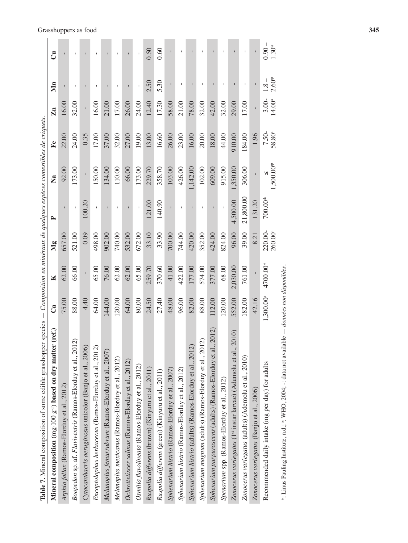| Table 7. Mineral composition of some edible grasshopper species $-$ Composition en minéraux de quelques espèces comestibles de criquets. |           |          |                                |              |           |                           |                                |                    |                      |
|------------------------------------------------------------------------------------------------------------------------------------------|-----------|----------|--------------------------------|--------------|-----------|---------------------------|--------------------------------|--------------------|----------------------|
| Mineral composition (mg·100 g <sup>-1</sup> ) based on dry matter (ref.)                                                                 | ී         | K        | Mg                             | $\mathbf{r}$ | Ž         | $\mathbb{F}^{\mathrm{e}}$ | $\mathbf{Zn}$                  | Min                | ්                    |
| Arphia fallax (Ramos-Elorduy et al., 2012)                                                                                               | 75.00     | 62.00    | 657.00                         | $\mathbf{I}$ | 92.00     | 22.00                     | 16.00                          |                    |                      |
| Boopedon sp. af. Flaviventris (Ramos-Elorduy et al., 2012)                                                                               | 88.00     | 66.00    | 521.00                         | $\bar{1}$    | 173.00    | 24.00                     | 32.00                          |                    |                      |
| Cytacanthacris aeruginosus unicolor (Banjo et al., 2006)                                                                                 | 4.40      |          | 0.09                           | 100.20       |           | 0.35                      |                                |                    |                      |
| $\widehat{\mathcal{C}}$<br>Encoptolophus herbaceous (Ramos-Elorduy et al., 201                                                           | 64.00     | 65.00    | 498.00                         |              | 150.00    | 17.00                     | 16.00                          |                    |                      |
| Melanoplus femurrubrum (Ramos-Elorduy et al., 2007,                                                                                      | 144.00    | 76.00    | 902.00                         |              | 134.00    | 37.00                     | 21.00                          |                    |                      |
| Melanoplus mexicanus (Ramos-Elorduy et al., 2012)                                                                                        | 120.00    | 62.00    | 740.00                         |              | 110.00    | 32.00                     | 17.00                          |                    |                      |
| Ochrottetixcer salinus (Ramos-Elorduy et al., 2012)                                                                                      | 64.00     | 62.00    | 532.00                         |              | 66.00     | 27.00                     | 26.00                          |                    |                      |
| Osmilia flavolineata (Ramos-Elorduy et al., 2012)                                                                                        | 80.00     | 65.00    | 672.00                         |              | 173.00    | 19.00                     | 24.00                          |                    |                      |
| Ruspolia differens (brown) (Kinyuru et al., 2011)                                                                                        | 24.50     | 259.70   | 33.10                          | 121.00       | 229.70    | 13.00                     | 12.40                          | 2.50               | 0.50                 |
| Ruspolia differens (green) (Kinyuru et al., 2011)                                                                                        | 27.40     | 370.60   | 33.90                          | 140.90       | 358.70    | 16.60                     | 17.30                          | 5.30               | 0.60                 |
| Sphenarium histrio (Ramos-Elorduy et al., 2007)                                                                                          | 48.00     | 41.00    | 700.00                         |              | 103.00    | 26.00                     | 58.00                          |                    |                      |
| Sphenarium histrio (Ramos-Elorduy et al., 2012)                                                                                          | 96.00     | 422.00   | 744.00                         |              | 426.00    | 23.00                     | 21.00                          |                    |                      |
| Sphenarium histrio (adults) (Ramos-Elorduy et al., 2012)                                                                                 | 82.00     | 177.00   | 420.00                         |              | 1,142.00  | 16.00                     | 78.00                          |                    |                      |
| Sphenarium magnum (adults) (Ramos-Elorduy et al., 2012)                                                                                  | 88.00     | 574.00   | 352.00                         |              | 102.00    | 20.00                     | 32.00                          |                    |                      |
| Sphenarium purpurascens (adults) (Ramos-Elorduy et al., 2012)                                                                            | 112.00    | 377.00   | 424.00                         |              | 609.00    | 18.00                     | 42.00                          |                    |                      |
| Spenarium spp. (Ramos-Elorduy et al., 2012)                                                                                              | 120.00    | 68.00    | 824.00                         |              | 915.00    | 44.00                     | 32.00                          |                    |                      |
| , 2010)<br>Zonocerus variegatus (1 <sup>st</sup> instar larvae) (Ademolu et al                                                           | 552.00    | 2,030.00 | 96.00                          | 4,500.00     | 1,350.00  | 910.00                    | 29.00                          |                    |                      |
| Zonocerus variegatus (adults) (Ademolu et al., 2010)                                                                                     | 182.00    | 761.00   | 39.00                          | 21,800.00    | 306.00    | 184.00                    | 17.00                          |                    |                      |
| Zonocerus variegatus (Banjo et al., 2006)                                                                                                | 42.16     |          | 8.21                           | 131.20       | $\bar{1}$ | 1.96                      | $\mathbf{I}$                   |                    |                      |
| Recommended daily intake (mg per day) for adults                                                                                         | 1,300.00ª | 4700.00* | 220.00-<br>260.00 <sup>a</sup> | 700.00*      | 1,500.00* | 7.50-<br>$58.80^{\rm a}$  | $3.00 -$<br>14.00 <sup>a</sup> | $2.60*$<br>$1.8 -$ | $-0.90 -$<br>$1.30*$ |
| *: Linus Pauling Institute, n.d.; *: WHO, 2004; -: data not available — <i>données non disponibles</i> .                                 |           |          |                                |              |           |                           |                                |                    |                      |

# Grasshoppers as food **345**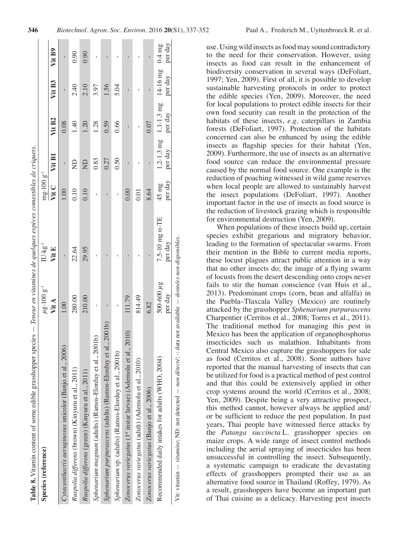| Species (reference)                                                                                       | $\mu$ g.100 g <sup>-1</sup> | $IU \cdot kg^{-1}$        | $mg.100g^{-1}$             |              |                                                                |              |         |
|-----------------------------------------------------------------------------------------------------------|-----------------------------|---------------------------|----------------------------|--------------|----------------------------------------------------------------|--------------|---------|
|                                                                                                           | Vit A                       | Vit E                     | Vit C                      | Vit B1       | Vit B <sub>2</sub>                                             | Vit B3       | Vit B9  |
| Cytacanthacris aeruginosus unicolor (Banjo et al., 2006)                                                  | 1.00                        | ī                         | 1.00                       | $\mathbf{I}$ | 0.08                                                           | ı            |         |
| Ruspolia differens (brown) (Kinyuru et al., 2011)                                                         | 280.00                      | 22.64                     | 0.10                       | $\Xi$        | 1.40                                                           | 2.40         | 0.90    |
| Ruspolia differens (green) (Kinyuru et al., 2011)                                                         | 210.00                      | 29.95                     | 0.10                       | $\Xi$        | 1.20                                                           | 2.10         | 0.90    |
| Sphenarium magnum (adults) (Ramos-Elorduy et al., 2001b)                                                  | I.                          | Ï                         |                            | 0.83         | 1.28                                                           | 3.97         |         |
| Sphenarium purpurascens (adults) (Ramos-Elorduy et al., 2001b)                                            |                             |                           | Ï                          | 0.27         | 0.59                                                           | 1.56         |         |
| Sphenarium sp. (adults) (Ramos-Elorduy et al., 2001b)                                                     | $\mathbf{I}$                | I                         | I                          | 0.50         | 0.66                                                           | 5.04         |         |
| 2010)<br>Zonocerus variegatus (1st instar larvae) (Ademolu et al.,                                        | 111.79                      |                           | 0.00                       |              |                                                                |              |         |
| Zonocerus variegatus (adult) (Ademolu et al., 2010)                                                       | 814.49                      |                           | 0.01                       |              |                                                                |              |         |
| Zonocerus variegatus (Banjo et al., 2006)                                                                 | 6.82                        |                           | 8.64                       |              | 0.07                                                           | $\mathbf{I}$ |         |
| Recommended daily intakes for adults (WHO, 2004)                                                          | 500-600 $\mu$ g<br>per day  | 7.5-10 mg a-TE<br>per day | per day<br>$45 \text{ mg}$ | per day      | $1.2 - 1.3$ mg $1.1 - 1.3$ mg $14 - 16$ mg $0.4$ mg<br>per day | per day      | per day |
| Vit: vitamin — vitamine; ND: not detected — non détecté; -: data not available — données non disponibles. |                             |                           |                            |              |                                                                |              |         |

use. Using wild insects asfoodmay sound contradictory to the need for their conservation. However, using insects as food can result in the enhancement of biodiversity conservation in several ways (DeFoliart, 1997; Yen, 2009). First of all, it is possible to develop sustainable harvesting protocols in order to protect the edible species (Yen, 2009). Moreover, the need for local populations to protect edible insects for their own food security can result in the protection of the habitats of these insects, *e.g.* caterpillars in Zambia forests (DeFoliart, 1997). Protection of the habitats concerned can also be enhanced by using the edible insects as flagship species for their habitat (Yen, 2009). Furthermore, the use of insects as an alternative food source can reduce the environmental pressure caused by the normal food source. One example is the reduction of poaching witnessed in wild game reserves when local people are allowed to sustainably harvest the insect populations (DeFoliart, 1997). Another important factor in the use of insects as food source is the reduction of livestock grazing which is responsible for environmental destruction (Yen, 2009).

When populations of these insects build up, certain species exhibit gregarious and migratory behavior, leading to the formation of spectacular swarms. From their mention in the Bible to current media reports, these locust plagues attract public attention in a way that no other insects do; the image of a flying swarm of locusts from the desert descending onto crops never fails to stir the human conscience (van Huis et al., 2013). Predominant crops (corn, bean and alfalfa) in the Puebla–Tlaxcala Valley (Mexico) are routinely attacked by the grasshopper *Sphenarium purpurascens* Charpentier (Cerritos et al., 2008; Torres et al., 2011). The traditional method for managing this pest in Mexico has been the application of organophosphorus insecticides such as malathion. Inhabitants from Central Mexico also capture the grasshoppers for sale as food (Cerritos et al., 2008). Some authors have reported that the manual harvesting of insects that can be utilized for food is a practical method of pest control and that this could be extensively applied in other crop systems around the world (Cerritos et al., 2008; Yen, 2009). Despite being a very attractive prospect, this method cannot, however always be applied and/ or be sufficient to reduce the pest population. In past years, Thai people have witnessed fierce attacks by the *Patanga succincta* L. grasshopper species on maize crops. A wide range of insect control methods including the aerial spraying of insecticides has been unsuccessful in controlling the insect. Subsequently, a systematic campaign to eradicate the devastating effects of grasshoppers prompted their use as an alternative food source in Thailand (Roffey, 1979). As a result, grasshoppers have become an important part of Thai cuisine as a delicacy. Harvesting pest insects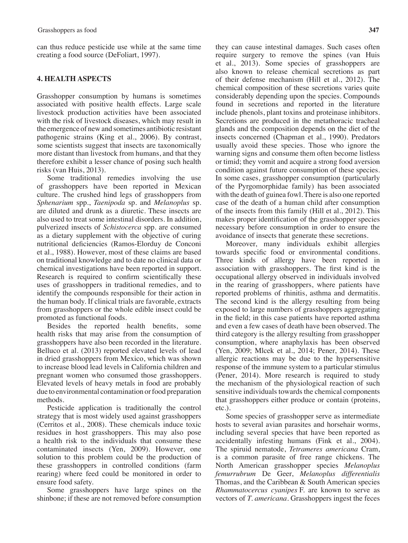can thus reduce pesticide use while at the same time creating a food source (DeFoliart, 1997).

# **4. HEALTH ASPECTS**

Grasshopper consumption by humans is sometimes associated with positive health effects. Large scale livestock production activities have been associated with the risk of livestock diseases, which may result in the emergence of newand sometimes antibiotic resistant pathogenic strains (King et al., 2006). By contrast, some scientists suggest that insects are taxonomically more distant than livestock from humans, and that they therefore exhibit a lesser chance of posing such health risks (van Huis, 2013).

Some traditional remedies involving the use of grasshoppers have been reported in Mexican culture. The crushed hind legs of grasshoppers from *Sphenarium* spp., *Taenipoda* sp. and *Melanoplus* sp. are diluted and drunk as a diuretic. These insects are also used to treat some intestinal disorders. In addition, pulverized insects of *Schistocerca* spp. are consumed as a dietary supplement with the objective of curing nutritional deficiencies (Ramos-Elorduy de Conconi et al., 1988). However, most of these claims are based on traditional knowledge and to date no clinical data or chemical investigations have been reported in support. Research is required to confirm scientifically these uses of grasshoppers in traditional remedies, and to identify the compounds responsible for their action in the human body. If clinical trials are favorable, extracts from grasshoppers or the whole edible insect could be promoted as functional foods.

Besides the reported health benefits, some health risks that may arise from the consumption of grasshoppers have also been recorded in the literature. Belluco et al. (2013) reported elevated levels of lead in dried grasshoppers from Mexico, which was shown to increase blood lead levels in California children and pregnant women who consumed those grasshoppers. Elevated levels of heavy metals in food are probably due to environmental contamination or food preparation methods.

Pesticide application is traditionally the control strategy that is most widely used against grasshoppers (Cerritos et al., 2008). These chemicals induce toxic residues in host grasshoppers. This may also pose a health risk to the individuals that consume these contaminated insects (Yen, 2009). However, one solution to this problem could be the production of these grasshoppers in controlled conditions (farm rearing) where feed could be monitored in order to ensure food safety.

Some grasshoppers have large spines on the shinbone; if these are not removed before consumption

they can cause intestinal damages. Such cases often require surgery to remove the spines (van Huis et al., 2013). Some species of grasshoppers are also known to release chemical secretions as part of their defense mechanism (Hill et al., 2012). The chemical composition of these secretions varies quite considerably depending upon the species. Compounds found in secretions and reported in the literature include phenols, plant toxins and proteinase inhibitors. Secretions are produced in the metathoracic tracheal glands and the composition depends on the diet of the insects concerned (Chapman et al., 1990). Predators usually avoid these species. Those who ignore the warning signs and consume them often become listless or timid; they vomit and acquire a strong food aversion condition against future consumption of these species. In some cases, grasshopper consumption (particularly of the Pyrgomorphidae family) has been associated with the death of guinea fowl.There is also one reported case of the death of a human child after consumption of the insects from this family (Hill et al., 2012). This makes proper identification of the grasshopper species necessary before consumption in order to ensure the avoidance of insects that generate these secretions.

Moreover, many individuals exhibit allergies towards specific food or environmental conditions. Three kinds of allergy have been reported in association with grasshoppers. The first kind is the occupational allergy observed in individuals involved in the rearing of grasshoppers, where patients have reported problems of rhinitis, asthma and dermatitis. The second kind is the allergy resulting from being exposed to large numbers of grasshoppers aggregating in the field; in this case patients have reported asthma and even a few cases of death have been observed. The third category is the allergy resulting from grasshopper consumption, where anaphylaxis has been observed (Yen, 2009; Mlcek et al., 2014; Pener, 2014). These allergic reactions may be due to the hypersensitive response of the immune system to a particular stimulus (Pener, 2014). More research is required to study the mechanism of the physiological reaction of such sensitive individuals towards the chemical components that grasshoppers either produce or contain (proteins, etc.).

Some species of grasshopper serve as intermediate hosts to several avian parasites and horsehair worms, including several species that have been reported as accidentally infesting humans (Fink et al., 2004). The spiruid nematode, *Tetrameres americana* Cram, is a common parasite of free range chickens. The North American grasshopper species *Melanoplus femurrubrum* De Geer, *Melanoplus differentialis* Thomas, and the Caribbean & South American species *Rhammatocercus cyanipes* F. are known to serve as vectors of *T. americana*. Grasshoppers ingest the feces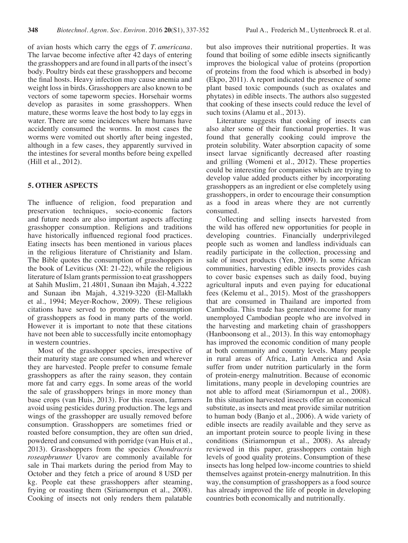of avian hosts which carry the eggs of *T. americana*. The larvae become infective after 42 days of entering the grasshoppers and are found in all parts of the insect's body. Poultry birds eat these grasshoppers and become the final hosts. Heavy infection may cause anemia and weight loss in birds. Grasshoppers are also known to be vectors of some tapeworm species. Horsehair worms develop as parasites in some grasshoppers. When mature, these worms leave the host body to lay eggs in water. There are some incidences where humans have accidently consumed the worms. In most cases the worms were vomited out shortly after being ingested, although in a few cases, they apparently survived in the intestines for several months before being expelled (Hill et al., 2012).

## **5. OTHER ASPECTS**

The influence of religion, food preparation and preservation techniques, socio-economic factors and future needs are also important aspects affecting grasshopper consumption. Religions and traditions have historically influenced regional food practices. Eating insects has been mentioned in various places in the religious literature of Christianity and Islam. The Bible quotes the consumption of grasshoppers in the book of Leviticus (XI: 21-22), while the religious literature of Islam grants permission to eat grasshoppers at Sahih Muslim, 21.4801, Sunaan ibn Majah, 4.3222 and Sunaan ibn Majah, 4.3219-3220 (El-Mallakh et al., 1994; Meyer-Rochow, 2009). These religious citations have served to promote the consumption of grasshoppers as food in many parts of the world. However it is important to note that these citations have not been able to successfully incite entomophagy in western countries.

Most of the grasshopper species, irrespective of their maturity stage are consumed when and wherever they are harvested. People prefer to consume female grasshoppers as after the rainy season, they contain more fat and carry eggs. In some areas of the world the sale of grasshoppers brings in more money than base crops (van Huis, 2013). For this reason, farmers avoid using pesticides during production. The legs and wings of the grasshopper are usually removed before consumption. Grasshoppers are sometimes fried or roasted before consumption, they are often sun dried, powdered and consumed with porridge (van Huis et al., 2013). Grasshoppers from the species *Chondracris roseapbrunner* Uvarov are commonly available for sale in Thai markets during the period from May to October and they fetch a price of around 8 USD per kg. People eat these grasshoppers after steaming, frying or roasting them (Siriamornpun et al., 2008). Cooking of insects not only renders them palatable but also improves their nutritional properties. It was found that boiling of some edible insects significantly improves the biological value of proteins (proportion of proteins from the food which is absorbed in body) (Ekpo, 2011). A report indicated the presence of some plant based toxic compounds (such as oxalates and phytates) in edible insects. The authors also suggested that cooking of these insects could reduce the level of such toxins (Alamu et al., 2013).

Literature suggests that cooking of insects can also alter some of their functional properties. It was found that generally cooking could improve the protein solubility. Water absorption capacity of some insect larvae significantly decreased after roasting and grilling (Womeni et al., 2012). These properties could be interesting for companies which are trying to develop value added products either by incorporating grasshoppers as an ingredient or else completely using grasshoppers, in order to encourage their consumption as a food in areas where they are not currently consumed.

Collecting and selling insects harvested from the wild has offered new opportunities for people in developing countries. Financially underprivileged people such as women and landless individuals can readily participate in the collection, processing and sale of insect products (Yen, 2009). In some African communities, harvesting edible insects provides cash to cover basic expenses such as daily food, buying agricultural inputs and even paying for educational fees (Kelemu et al., 2015). Most of the grasshoppers that are consumed in Thailand are imported from Cambodia. This trade has generated income for many unemployed Cambodian people who are involved in the harvesting and marketing chain of grasshoppers (Hanboonsong et al., 2013). In this way entomophagy has improved the economic condition of many people at both community and country levels. Many people in rural areas of Africa, Latin America and Asia suffer from under nutrition particularly in the form of protein-energy malnutrition. Because of economic limitations, many people in developing countries are not able to afford meat (Siriamornpun et al., 2008). In this situation harvested insects offer an economical substitute, as insects and meat provide similar nutrition to human body (Banjo et al., 2006). A wide variety of edible insects are readily available and they serve as an important protein source to people living in these conditions (Siriamornpun et al., 2008). As already reviewed in this paper, grasshoppers contain high levels of good quality proteins. Consumption of these insects has long helped low-income countries to shield themselves against protein-energy malnutrition. In this way, the consumption of grasshoppers as a food source has already improved the life of people in developing countries both economically and nutritionally.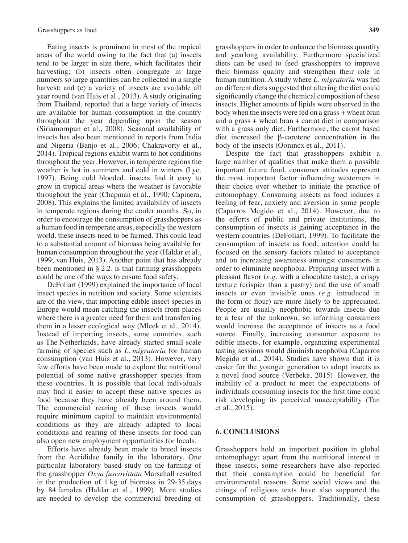Eating insects is prominent in most of the tropical areas of the world owing to the fact that (a) insects tend to be larger in size there, which facilitates their harvesting; (b) insects often congregate in large numbers so large quantities can be collected in a single harvest; and (c) a variety of insects are available all year round (van Huis et al., 2013). A study originating from Thailand, reported that a large variety of insects are available for human consumption in the country throughout the year depending upon the season (Siriamornpun et al., 2008). Seasonal availability of insects has also been mentioned in reports from India and Nigeria (Banjo et al., 2006; Chakravorty et al., 2014). Tropical regions exhibit warm to hot conditions throughout the year. However, in temperate regions the weather is hot in summers and cold in winters (Lye, 1997). Being cold blooded, insects find it easy to grow in tropical areas where the weather is favorable throughout the year (Chapman et al., 1990; Capinera, 2008). This explains the limited availability of insects in temperate regions during the cooler months. So, in order to encourage the consumption of grasshoppers as a human food in temperate areas, especially the western world, these insects need to be farmed. This could lead to a substantial amount of biomass being available for human consumption throughout the year (Haldar et al., 1999; van Huis, 2013). Another point that has already been mentioned in § 2.2. is that farming grasshoppers could be one of the ways to ensure food safety.

DeFoliart (1999) explained the importance of local insect species in nutrition and society. Some scientists are of the view, that importing edible insect species in Europe would mean catching the insects from places where there is a greater need for them and transferring them in a lesser ecological way (Mlcek et al., 2014). Instead of importing insects, some countries, such as The Netherlands, have already started small scale farming of species such as *L. migratoria* for human consumption (van Huis et al., 2013). However, very few efforts have been made to explore the nutritional potential of some native grasshopper species from these countries. It is possible that local individuals may find it easier to accept these native species as food because they have already been around them. The commercial rearing of these insects would require minimum capital to maintain environmental conditions as they are already adapted to local conditions and rearing of these insects for food can also open new employment opportunities for locals.

Efforts have already been made to breed insects from the Acrididae family in the laboratory. One particular laboratory based study on the farming of the grasshopper *Oxya fuscovittata* Marschall resulted in the production of 1 kg of biomass in 29-35 days by 84 females (Haldar et al., 1999). More studies are needed to develop the commercial breeding of grasshoppers in order to enhance the biomass quantity and yearlong availability. Furthermore specialized diets can be used to feed grasshoppers to improve their biomass quality and strengthen their role in human nutrition. A study where *L. migratoria* was fed on different diets suggested that altering the diet could significantly change the chemical composition of these insects. Higher amounts of lipids were observed in the body when the insects were fed on a grass + wheat bran and a grass + wheat bran + carrot diet in comparison with a grass only diet. Furthermore, the carrot based diet increased the β-carotene concentration in the body of the insects (Oonincx et al., 2011).

Despite the fact that grasshoppers exhibit a large number of qualities that make them a possible important future food, consumer attitudes represent the most important factor influencing westerners in their choice over whether to initiate the practice of entomophagy. Consuming insects as food induces a feeling of fear, anxiety and aversion in some people (Caparros Megido et al., 2014). However, due to the efforts of public and private institutions, the consumption of insects is gaining acceptance in the western countries (DeFoliart, 1999). To facilitate the consumption of insects as food, attention could be focused on the sensory factors related to acceptance and on increasing awareness amongst consumers in order to eliminate neophobia. Preparing insect with a pleasant flavor (*e.g.* with a chocolate taste), a crispy texture (crispier than a pastry) and the use of small insects or even invisible ones (*e.g.* introduced in the form of flour) are more likely to be appreciated. People are usually neophobic towards insects due to a fear of the unknown, so informing consumers would increase the acceptance of insects as a food source. Finally, increasing consumer exposure to edible insects, for example, organizing experimental tasting sessions would diminish neophobia (Caparros Megido et al., 2014). Studies have shown that it is easier for the younger generation to adopt insects as a novel food source (Verbeke, 2015). However, the inability of a product to meet the expectations of individuals consuming insects for the first time could risk developing its perceived unacceptability (Tan et al., 2015).

#### **6. CONCLUSIONS**

Grasshoppers hold an important position in global entomophagy; apart from the nutritional interest in these insects, some researchers have also reported that their consumption could be beneficial for environmental reasons. Some social views and the citings of religious texts have also supported the consumption of grasshoppers. Traditionally, these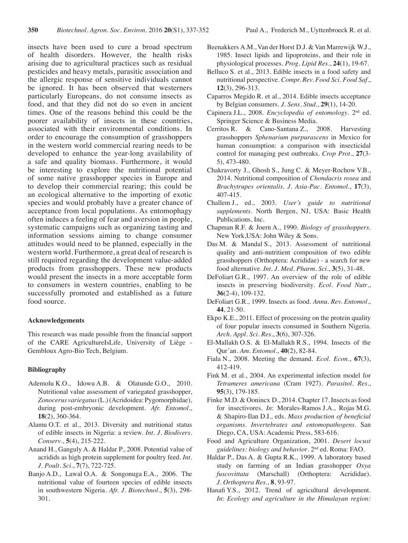insects have been used to cure a broad spectrum of health disorders. However, the health risks arising due to agricultural practices such as residual pesticides and heavy metals, parasitic association and the allergic response of sensitive individuals cannot be ignored. It has been observed that westerners particularly Europeans, do not consume insects as food, and that they did not do so even in ancient times. One of the reasons behind this could be the poorer availability of insects in these countries, associated with their environmental conditions. In order to encourage the consumption of grasshoppers in the western world commercial rearing needs to be developed to enhance the year-long availability of a safe and quality biomass. Furthermore, it would be interesting to explore the nutritional potential of some native grasshopper species in Europe and to develop their commercial rearing; this could be an ecological alternative to the importing of exotic species and would probably have a greater chance of acceptance from local populations. As entomophagy often induces a feeling of fear and aversion in people, systematic campaigns such as organizing tasting and information sessions aiming to change consumer attitudes would need to be planned, especially in the western world. Furthermore, a great deal of research is still required regarding the development value-added products from grasshoppers. These new products would present the insects in a more acceptable form to consumers in western countries, enabling to be successfully promoted and established as a future food source.

#### **Acknowledgements**

This research was made possible from the financial support of the CARE AgricultureIsLife, University of Liège - Gembloux Agro-Bio Tech, Belgium.

#### **Bibliography**

- Ademolu K.O., Idowu A.B. & Olatunde G.O., 2010. Nutritional value assessment of variegated grasshopper, *Zonocerus variegatus*(L.)(Acridoidea:Pygomorphidae), during post-embryonic development. *Afr. Entomol*., **18**(2), 360-364.
- Alamu O.T. et al., 2013. Diversity and nutritional status of edible insects in Nigeria: a review. *Int. J. Biodivers. Conserv*., **5**(4), 215-222.
- Anand H., Ganguly A. & Haldar P., 2008. Potential value of acridids as high protein supplement for poultry feed. *Int. J. Poult. Sci*., **7**(7), 722-725.
- Banjo A.D., Lawal O.A. & Songonuga E.A., 2006. The nutritional value of fourteen species of edible insects in southwestern Nigeria. *Afr. J. Biotechnol*., **5**(3), 298- 301.
- Beenakkers A.M., Van der Horst D.J. & Van Marrewijk W.J., 1985. Insect lipids and lipoproteins, and their role in physiological processes. *Prog. Lipid Res*., **24**(1), 19-67.
- Belluco S. et al., 2013. Edible insects in a food safety and nutritional perspective. *Compr. Rev. Food Sci. Food Saf*., **12**(3), 296-313.
- Caparros Megido R. et al., 2014. Edible insects acceptance by Belgian consumers. *J. Sens. Stud*., **29**(1), 14-20.
- Capinera J.L., 2008. *Encyclopedia of entomology*. 2nd ed. Springer Science & Business Media.
- Cerritos R. & Cano-Santana Z., 2008. Harvesting grasshoppers *Sphenarium purpurascens* in Mexico for human consumption: a comparison with insecticidal control for managing pest outbreaks. *Crop Prot*., **27**(3- 5), 473-480.
- Chakravorty J., Ghosh S., Jung C. & Meyer-Rochow V.B., 2014. Nutritional composition of *Chondacris rosea* and *Brachytrupes orientalis*. *J. Asia-Pac. Entomol.*, **17**(3), 407-415.
- Challem J., ed., 2003. *User's guide to nutritional supplements.* North Bergen, NJ, USA: Basic Health Publications, Inc.
- Chapman R.F. & Joern A., 1990. *Biology of grasshoppers*. New York,USA: John Wiley & Sons.
- Das M. & Mandal S., 2013. Assessment of nutritional quality and anti-nutritient composition of two edible grasshoppers (Orthoptera: Acrididae) - a search for new food alternative. *Int. J. Med. Pharm*. *Sci.*, **3**(5), 31-48.
- DeFoliart G.R., 1997. An overview of the role of edible insects in preserving biodiversity. *Ecol. Food Nutr*., **36**(2-4), 109-132.
- DeFoliart G.R., 1999. Insects as food. *Annu. Rev. Entomol*., **44**, 21-50.
- Ekpo K.E., 2011. Effect of processing on the protein quality of four popular insects consumed in Southern Nigeria. *Arch. Appl. Sci. Res*., **3**(6), 307-326.
- El-Mallakh O.S. & El-Mallakh R.S., 1994. Insects of the Qur'an. *Am. Entomol*., **40**(2), 82-84.
- Fiala N., 2008. Meeting the demand. *Ecol. Econ*., **67**(3), 412-419.
- Fink M. et al., 2004. An experimental infection model for *Tetrameres americana* (Cram 1927). *Parasitol. Res*., **95**(3), 179-185.
- Finke M.D. & Oonincx D., 2014. Chapter 17. Insects as food for insectivores. *In*: Morales-Ramos J.A., Rojas M.G. & Shapiro-Ilan D.I., eds. *Mass production of beneficial organisms*. *Invertebrates and entomopathogens*. San Diego, CA, USA: Academic Press, 583-616.
- Food and Agriculture Organization, 2001. *Desert locust guidelines: biology and behavior*. 2nd ed. Roma: FAO.
- Haldar P., Das A. & Gupta R.K., 1999. A laboratory based study on farming of an Indian grasshopper *Oxya fuscovittata* (Marschall) (Orthoptera: Acrididae). *J. Orthoptera Res*., **8**, 93-97.
- Hanafi Y.S., 2012. Trend of agricultural development. *In*: *Ecology and agriculture in the Himalayan region:*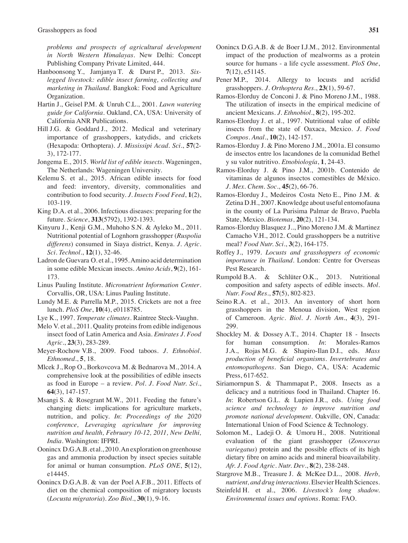*problems and prospects of agricultural development in North Western Himalayas*. New Delhi: Concept Publishing Company Private Limited, 444.

- Hanboonsong Y., Jamjanya T. & Durst P., 2013. *Sixlegged livestock: edible insect farming, collecting and marketing in Thailand*. Bangkok: Food and Agriculture Organization.
- Hartin J., Geisel P.M. & Unruh C.L., 2001. *Lawn watering guide for California*. Oakland, CA, USA: University of California ANR Publications.
- Hill J.G. & Goddard J., 2012. Medical and veterinary importance of grasshoppers, katydids, and crickets (Hexapoda: Orthoptera). *J. Mississipi Acad. Sci*., **57**(2- 3), 172-177.
- Jongema E., 2015. *World list of edible insects*. Wageningen, The Netherlands: Wageningen University.
- Kelemu S. et al., 2015. African edible insects for food and feed: inventory, diversity, commonalities and contribution to food security. *J. Insects Food Feed*, **1**(2), 103-119.
- King D.A. et al., 2006. Infectious diseases: preparing for the future. *Science*, **313**(5792), 1392-1393.
- Kinyuru J., Kenji G.M., Muhoho S.N. & Ayleko M., 2011. Nutritional potential of Lognhorn grasshopper (*Ruspolia differens*) consumed in Siaya district, Kenya. *J. Agric. Sci. Technol*., **12**(1), 32-46.
- Ladron de Guevara O. et al., 1995.Amino acid determination in some edible Mexican insects. *Amino Acids*, **9**(2), 161- 173.
- Linus Pauling Institute. *Micronutrient Information Center*. Corvallis, OR, USA: Linus Pauling Institute.
- Lundy M.E. & Parrella M.P., 2015. Crickets are not a free lunch. *PloS One*, **10**(4), e0118785.
- Lye K., 1997. *Temperate climates*. Raintree Steck-Vaughn.
- Melo V. et al., 2011. Quality proteins from edible indigenous insect food of Latin America and Asia. *Emirates J. Food Agric*., **23**(3), 283-289.
- Meyer-Rochow V.B., 2009. Food taboos. *J. Ethnobiol. Ethnomed.*, **5**, 18.
- Mlcek J., Rop O., Borkovcova M. & Bednarova M., 2014.A comprehensive look at the possibilities of edible insects as food in Europe – a review. *Pol. J. Food Nutr. Sci*., **64**(3), 147-157.
- Msangi S. & Rosegrant M.W., 2011. Feeding the future's changing diets: implications for agriculture markets, nutrition, and policy. *In*: *Proceedings of the 2020 conference, Leveraging agriculture for improving nutrition and health, February 10-12, 2011, New Delhi, India*. Washington: IFPRI.
- Oonincx D.G.A.B. et al., 2010.An exploration on greenhouse gas and ammonia production by insect species suitable for animal or human consumption. *PLoS ONE*, **5**(12), e14445.
- Oonincx D.G.A.B. & van der Poel A.F.B., 2011. Effects of diet on the chemical composition of migratory locusts (*Locusta migratoria*). *Zoo Biol*., **30**(1), 9-16.
- Oonincx D.G.A.B. & de Boer I.J.M., 2012. Environmental impact of the production of mealworms as a protein source for humans - a life cycle assessment. *PloS One*, **7**(12), e51145.
- Pener M.P., 2014. Allergy to locusts and acridid grasshoppers. *J. Orthoptera Res*., **23**(1), 59-67.
- Ramos-Elorduy de Conconi J. & Pino Moreno J.M., 1988. The utilization of insects in the empirical medicine of ancient Mexicans. *J. Ethnobiol*., **8**(2), 195-202.
- Ramos-Elorduy J. et al., 1997. Nutritional value of edible insects from the state of Oaxaca, Mexico. *J. Food Compos. Anal.*, **10**(2), 142-157.
- Ramos-Elorduy J. & Pino Moreno J.M., 2001a. El consumo de insectos entre los lacandones de la comunidad Bethel y su valor nutritivo. *Etnobiología*, **1**, 24-43.
- Ramos-Elorduy J. & Pino J.M., 2001b. Contenido de vitaminas de algunos insectos comestibles de México. *J. Mex. Chem. Soc*., **45**(2), 66-76.
- Ramos-Elorduy J., Medeiros Costa Neto E., Pino J.M. & Zetina D.H., 2007. Knowledge about useful entomofauna in the county of La Purisima Palmar de Bravo, Puebla State, Mexico. *Biotemas*, **20**(2), 121-134.
- Ramos-Elorduy Blasquez J.., Pino Moreno J.M. & Martinez Camacho V.H., 2012. Could grasshoppers be a nutritive meal? *Food Nutr. Sci*., **3**(2), 164-175.
- Roffey J., 1979. *Locusts and grasshoppers of economic importance in Thailand*. London: Centre for Overseas Pest Research.
- Rumpold B.A. & Schlüter O.K., 2013. Nutritional composition and safety aspects of edible insects. *Mol. Nutr. Food Res*., **57**(5), 802-823.
- Seino R.A. et al., 2013. An inventory of short horn grasshoppers in the Menoua division, West region of Cameroon. *Agric. Biol. J. North Am*., **4**(3), 291- 299.
- Shockley M. & Dossey A.T., 2014. Chapter 18 Insects for human consumption. *In*: Morales-Ramos J.A., Rojas M.G. & Shapiro-Ilan D.I., eds. *Mass production of beneficial organisms*. *Invertebrates and entomopathogens.* San Diego, CA, USA: Academic Press, 617-652.
- Siriamornpun S. & Thammapat P., 2008. Insects as a delicacy and a nutritious food in Thailand. Chapter 16. *In*: Robertson G.L. & Lupien J.R., eds. *Using food science and technology to improve nutrition and promote national development.* Oakville, ON, Canada: International Union of Food Science & Technology.
- Solomon M., Ladeji O. & Umoru H., 2008. Nutritional evaluation of the giant grasshopper (*Zonocerus variegatus*) protein and the possible effects of its high dietary fibre on amino acids and mineral bioavailability. *Afr. J. Food Agric. Nutr. Dev*., **8**(2), 238-248.
- Stargrove M.B., Treasure J. & McKee D.L., 2008. *Herb, nutrient, and drug interactions*. Elsevier Health Sciences.
- Steinfeld H. et al., 2006. *Livestock's long shadow. Environmental issues and options*. Roma: FAO.